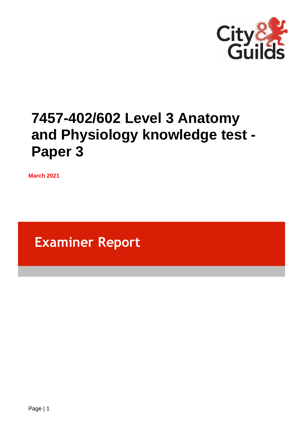

# **7457-402/602 Level 3 Anatomy and Physiology knowledge test - Paper 3**

**March 2021**

**Examiner Report**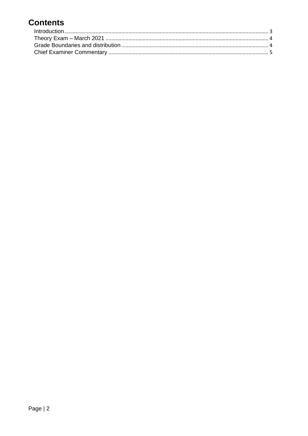# **Contents**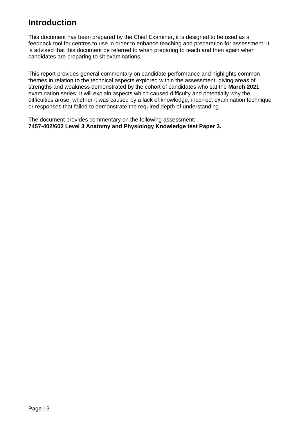### <span id="page-2-0"></span>**Introduction**

This document has been prepared by the Chief Examiner, it is designed to be used as a feedback tool for centres to use in order to enhance teaching and preparation for assessment. It is advised that this document be referred to when preparing to teach and then again when candidates are preparing to sit examinations.

This report provides general commentary on candidate performance and highlights common themes in relation to the technical aspects explored within the assessment, giving areas of strengths and weakness demonstrated by the cohort of candidates who sat the **March 2021** examination series. It will explain aspects which caused difficulty and potentially why the difficulties arose, whether it was caused by a lack of knowledge, incorrect examination technique or responses that failed to demonstrate the required depth of understanding.

The document provides commentary on the following assessment: **7457-402/602 Level 3 Anatomy and Physiology Knowledge test Paper 3.**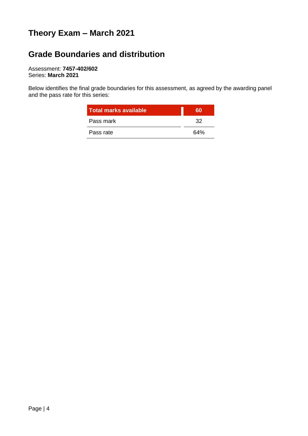## <span id="page-3-0"></span>**Theory Exam – March 2021**

### <span id="page-3-1"></span>**Grade Boundaries and distribution**

Assessment: **7457-402/602** Series: **March 2021**

Below identifies the final grade boundaries for this assessment, as agreed by the awarding panel and the pass rate for this series:

| <b>Total marks available</b> | 60  |
|------------------------------|-----|
| Pass mark                    | つつ  |
| Pass rate                    | 64% |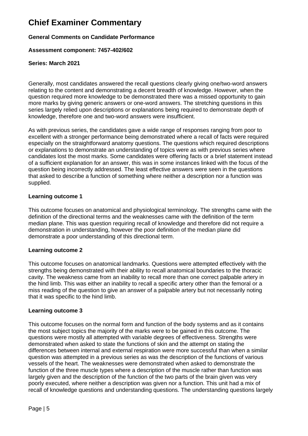### <span id="page-4-0"></span>**Chief Examiner Commentary**

#### **General Comments on Candidate Performance**

#### **Assessment component: 7457-402/602**

#### **Series: March 2021**

Generally, most candidates answered the recall questions clearly giving one/two-word answers relating to the content and demonstrating a decent breadth of knowledge. However, when the question required more knowledge to be demonstrated there was a missed opportunity to gain more marks by giving generic answers or one-word answers. The stretching questions in this series largely relied upon descriptions or explanations being required to demonstrate depth of knowledge, therefore one and two-word answers were insufficient.

As with previous series, the candidates gave a wide range of responses ranging from poor to excellent with a stronger performance being demonstrated where a recall of facts were required especially on the straightforward anatomy questions. The questions which required descriptions or explanations to demonstrate an understanding of topics were as with previous series where candidates lost the most marks. Some candidates were offering facts or a brief statement instead of a sufficient explanation for an answer, this was in some instances linked with the focus of the question being incorrectly addressed. The least effective answers were seen in the questions that asked to describe a function of something where neither a description nor a function was supplied.

#### **Learning outcome 1**

This outcome focuses on anatomical and physiological terminology. The strengths came with the definition of the directional terms and the weaknesses came with the definition of the term median plane. This was question requiring recall of knowledge and therefore did not require a demonstration in understanding, however the poor definition of the median plane did demonstrate a poor understanding of this directional term.

#### **Learning outcome 2**

This outcome focuses on anatomical landmarks. Questions were attempted effectively with the strengths being demonstrated with their ability to recall anatomical boundaries to the thoracic cavity. The weakness came from an inability to recall more than one correct palpable artery in the hind limb. This was either an inability to recall a specific artery other than the femoral or a miss reading of the question to give an answer of a palpable artery but not necessarily noting that it was specific to the hind limb.

#### **Learning outcome 3**

This outcome focuses on the normal form and function of the body systems and as it contains the most subject topics the majority of the marks were to be gained in this outcome. The questions were mostly all attempted with variable degrees of effectiveness. Strengths were demonstrated when asked to state the functions of skin and the attempt on stating the differences between internal and external respiration were more successful than when a similar question was attempted in a previous series as was the description of the functions of various vessels of the heart. The weaknesses were demonstrated when asked to demonstrate the function of the three muscle types where a description of the muscle rather than function was largely given and the description of the function of the two parts of the brain given was very poorly executed, where neither a description was given nor a function. This unit had a mix of recall of knowledge questions and understanding questions. The understanding questions largely